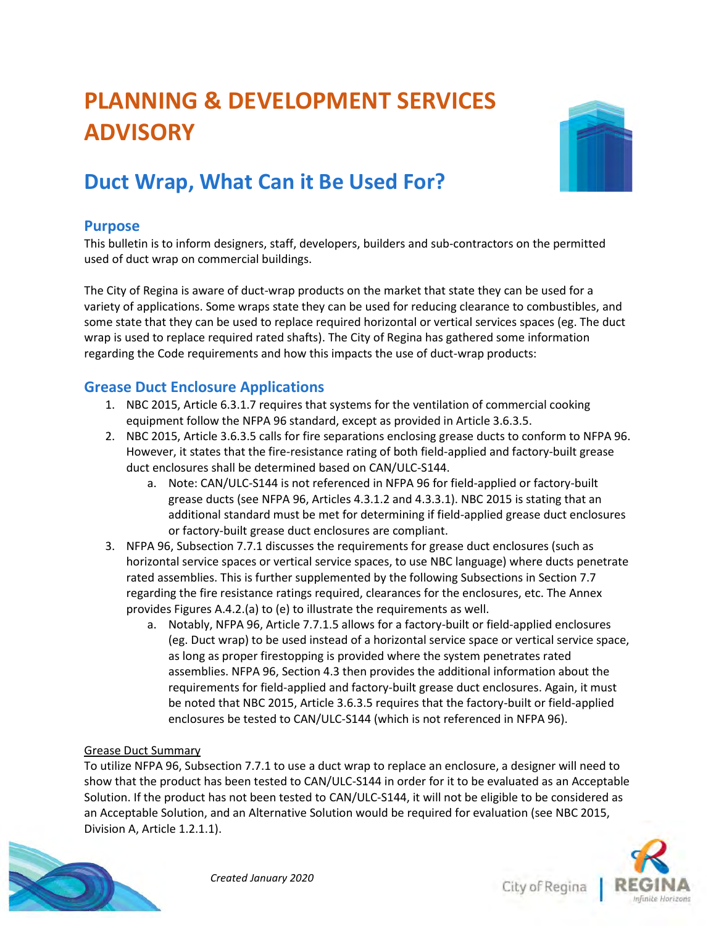# **PLANNING & DEVELOPMENT SERVICES ADVISORY**



# **Duct Wrap, What Can it Be Used For?**

# **Purpose**

This bulletin is to inform designers, staff, developers, builders and sub-contractors on the permitted used of duct wrap on commercial buildings.

The City of Regina is aware of duct-wrap products on the market that state they can be used for a variety of applications. Some wraps state they can be used for reducing clearance to combustibles, and some state that they can be used to replace required horizontal or vertical services spaces (eg. The duct wrap is used to replace required rated shafts). The City of Regina has gathered some information regarding the Code requirements and how this impacts the use of duct-wrap products:

### **Grease Duct Enclosure Applications**

- 1. NBC 2015, Article 6.3.1.7 requires that systems for the ventilation of commercial cooking equipment follow the NFPA 96 standard, except as provided in Article 3.6.3.5.
- 2. NBC 2015, Article 3.6.3.5 calls for fire separations enclosing grease ducts to conform to NFPA 96. However, it states that the fire-resistance rating of both field-applied and factory-built grease duct enclosures shall be determined based on CAN/ULC-S144.
	- a. Note: CAN/ULC-S144 is not referenced in NFPA 96 for field-applied or factory-built grease ducts (see NFPA 96, Articles 4.3.1.2 and 4.3.3.1). NBC 2015 is stating that an additional standard must be met for determining if field-applied grease duct enclosures or factory-built grease duct enclosures are compliant.
- 3. NFPA 96, Subsection 7.7.1 discusses the requirements for grease duct enclosures (such as horizontal service spaces or vertical service spaces, to use NBC language) where ducts penetrate rated assemblies. This is further supplemented by the following Subsections in Section 7.7 regarding the fire resistance ratings required, clearances for the enclosures, etc. The Annex provides Figures A.4.2.(a) to (e) to illustrate the requirements as well.
	- a. Notably, NFPA 96, Article 7.7.1.5 allows for a factory-built or field-applied enclosures (eg. Duct wrap) to be used instead of a horizontal service space or vertical service space, as long as proper firestopping is provided where the system penetrates rated assemblies. NFPA 96, Section 4.3 then provides the additional information about the requirements for field-applied and factory-built grease duct enclosures. Again, it must be noted that NBC 2015, Article 3.6.3.5 requires that the factory-built or field-applied enclosures be tested to CAN/ULC-S144 (which is not referenced in NFPA 96).

#### Grease Duct Summary

To utilize NFPA 96, Subsection 7.7.1 to use a duct wrap to replace an enclosure, a designer will need to show that the product has been tested to CAN/ULC-S144 in order for it to be evaluated as an Acceptable Solution. If the product has not been tested to CAN/ULC-S144, it will not be eligible to be considered as an Acceptable Solution, and an Alternative Solution would be required for evaluation (see NBC 2015, Division A, Article 1.2.1.1).





City of Regina